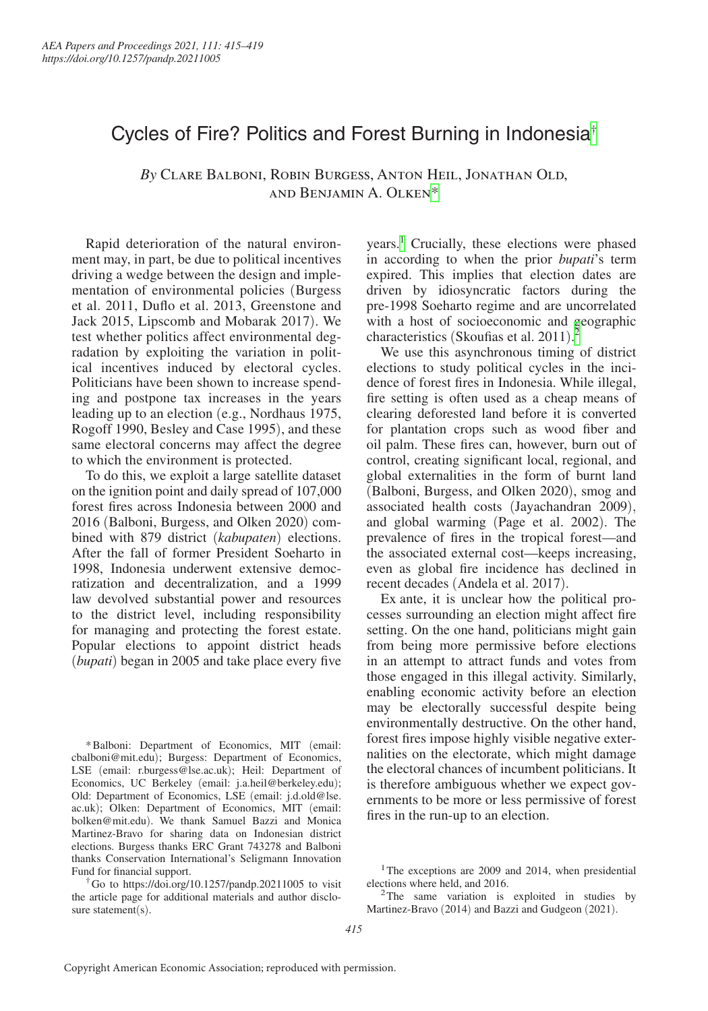## Cycles of Fire? Politics and Forest Burning in Indonesia[†](#page-0-0)

*By* Clare Balboni, Robin Burgess, Anton Heil, Jonathan Old, and Benjamin A. Olken[\\*](#page-0-1)

Rapid deterioration of the natural environment may, in part, be due to political incentives driving a wedge between the design and implementation of environmental policies (Burgess et al. 2011, Duflo et al. 2013, Greenstone and Jack 2015, Lipscomb and Mobarak 2017). We test whether politics affect environmental degradation by exploiting the variation in political incentives induced by electoral cycles. Politicians have been shown to increase spending and postpone tax increases in the years leading up to an election (e.g., Nordhaus 1975, Rogoff 1990, Besley and Case 1995), and these same electoral concerns may affect the degree to which the environment is protected.

To do this, we exploit a large satellite dataset on the ignition point and daily spread of 107,000 forest fires across Indonesia between 2000 and 2016 (Balboni, Burgess, and Olken 2020) combined with 879 district (*kabupaten*) elections. After the fall of former President Soeharto in 1998, Indonesia underwent extensive democratization and decentralization, and a 1999 law devolved substantial power and resources to the district level, including responsibility for managing and protecting the forest estate. Popular elections to appoint district heads (*bupati*) began in 2005 and take place every five

<span id="page-0-1"></span>\*Balboni: Department of Economics, MIT (email: [cbalboni@mit.edu](mailto:cbalboni@mit.edu)); Burgess: Department of Economics, LSE (email: [r.burgess@lse.ac.uk](mailto:r.burgess@lse.ac.uk)); Heil: Department of Economics, UC Berkeley (email: [j.a.heil@berkeley.edu](mailto:j.a.heil@berkeley.edu)); Old: Department of Economics, LSE (email: [j.d.old@lse.](mailto:j.d.old@lse.ac.uk) [ac.uk](mailto:j.d.old@lse.ac.uk)); Olken: Department of Economics, MIT (email: [bolken@mit.edu](mailto:bolken@mit.edu)). We thank Samuel Bazzi and Monica Martinez-Bravo for sharing data on Indonesian district elections. Burgess thanks ERC Grant 743278 and Balboni thanks Conservation International's Seligmann Innovation Fund for financial support.

<span id="page-0-0"></span>†Go to <https://doi.org/10.1257/pandp.20211005>to visit the article page for additional materials and author disclosure statement(s).

years.<sup>[1](#page-0-2)</sup> Crucially, these elections were phased in according to when the prior *bupati*'s term expired. This implies that election dates are driven by idiosyncratic factors during the pre-1998 Soeharto regime and are uncorrelated with a host of socioeconomic and geographic characteristics (Skoufias et al. [2](#page-0-3)011).<sup>2</sup>

We use this asynchronous timing of district elections to study political cycles in the incidence of forest fires in Indonesia. While illegal, fire setting is often used as a cheap means of clearing deforested land before it is converted for plantation crops such as wood fiber and oil palm. These fires can, however, burn out of control, creating significant local, regional, and global externalities in the form of burnt land (Balboni, Burgess, and Olken 2020), smog and associated health costs (Jayachandran 2009), and global warming (Page et al. 2002). The prevalence of fires in the tropical forest—and the associated external cost—keeps increasing, even as global fire incidence has declined in recent decades (Andela et al. 2017).

Ex ante, it is unclear how the political processes surrounding an election might affect fire setting. On the one hand, politicians might gain from being more permissive before elections in an attempt to attract funds and votes from those engaged in this illegal activity. Similarly, enabling economic activity before an election may be electorally successful despite being environmentally destructive. On the other hand, forest fires impose highly visible negative externalities on the electorate, which might damage the electoral chances of incumbent politicians. It is therefore ambiguous whether we expect governments to be more or less permissive of forest fires in the run-up to an election.

<span id="page-0-2"></span><sup>&</sup>lt;sup>1</sup>The exceptions are 2009 and 2014, when presidential elections where held, and 2016. 2The same variation is exploited in studies by

<span id="page-0-3"></span>Martinez-Bravo (2014) and Bazzi and Gudgeon (2021).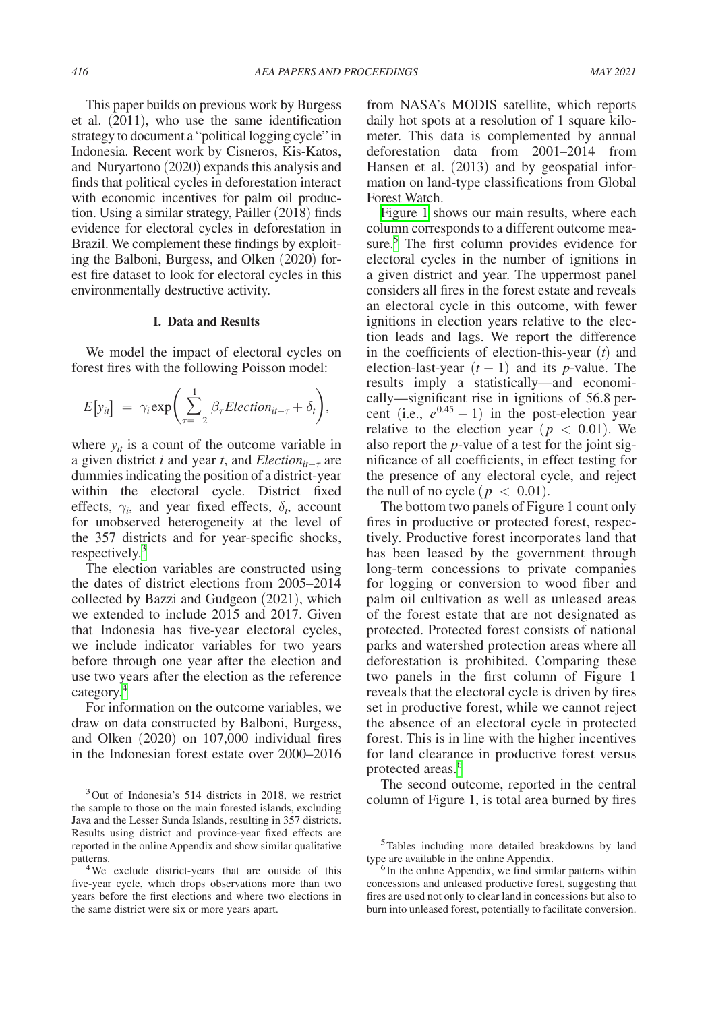This paper builds on previous work by Burgess et al. (2011), who use the same identification strategy to document a "political logging cycle" in Indonesia. Recent work by Cisneros, Kis-Katos, and Nuryartono (2020) expands this analysis and finds that political cycles in deforestation interact with economic incentives for palm oil production. Using a similar strategy, Pailler (2018) finds evidence for electoral cycles in deforestation in Brazil. We complement these findings by exploiting the Balboni, Burgess, and Olken (2020) forest fire dataset to look for electoral cycles in this environmentally destructive activity.

## **I. Data and Results**

We model the impact of electoral cycles on forest fires with the following Poisson model:

$$
E[y_{it}] = \gamma_i \exp\left(\sum_{\tau=-2}^{1} \beta_{\tau} Electronic(\tau_{it-\tau} + \delta_t)\right),
$$

where  $y_{it}$  is a count of the outcome variable in a given district *i* and year *t*, and *Election*<sub> $it−τ$ </sub> are dummies indicating the position of a district-year within the electoral cycle. District fixed effects,  $\gamma_i$ , and year fixed effects,  $\delta_t$ , account for unobserved heterogeneity at the level of the 357 districts and for year-specific shocks, respectively.<sup>[3](#page-1-0)</sup>

The election variables are constructed using the dates of district elections from 2005–2014 collected by Bazzi and Gudgeon (2021), which we extended to include 2015 and 2017. Given that Indonesia has five-year electoral cycles, we include indicator variables for two years before through one year after the election and use two years after the election as the reference category[.4](#page-1-1)

For information on the outcome variables, we draw on data constructed by Balboni, Burgess, and Olken (2020) on 107,000 individual fires in the Indonesian forest estate over 2000–2016

<span id="page-1-0"></span><sup>3</sup>Out of Indonesia's 514 districts in 2018, we restrict the sample to those on the main forested islands, excluding Java and the Lesser Sunda Islands, resulting in 357 districts. Results using district and province-year fixed effects are reported in the online Appendix and show similar qualitative from NASA's MODIS satellite, which reports daily hot spots at a resolution of 1 square kilometer. This data is complemented by annual deforestation data from 2001–2014 from Hansen et al. (2013) and by geospatial information on land-type classifications from Global Forest Watch.

[Figure 1](#page-2-0) shows our main results, where each column corresponds to a different outcome measure.<sup>5</sup> The first column provides evidence for electoral cycles in the number of ignitions in a given district and year. The uppermost panel considers all fires in the forest estate and reveals an electoral cycle in this outcome, with fewer ignitions in election years relative to the election leads and lags. We report the difference in the coefficients of election-this-year (*t*) and election-last-year  $(t - 1)$  and its *p*-value. The results imply a statistically—and economically—significant rise in ignitions of 56.8 percent (i.e.,  $e^{0.45} - 1$ ) in the post-election year relative to the election year ( $p < 0.01$ ). We also report the *p*-value of a test for the joint significance of all coefficients, in effect testing for the presence of any electoral cycle, and reject the null of no cycle ( $p < 0.01$ ).

The bottom two panels of Figure 1 count only fires in productive or protected forest, respectively. Productive forest incorporates land that has been leased by the government through long-term concessions to private companies for logging or conversion to wood fiber and palm oil cultivation as well as unleased areas of the forest estate that are not designated as protected. Protected forest consists of national parks and watershed protection areas where all deforestation is prohibited. Comparing these two panels in the first column of Figure 1 reveals that the electoral cycle is driven by fires set in productive forest, while we cannot reject the absence of an electoral cycle in protected forest. This is in line with the higher incentives for land clearance in productive forest versus protected areas.<sup>[6](#page-1-3)</sup>

The second outcome, reported in the central column of Figure 1, is total area burned by fires

<span id="page-1-1"></span>patterns. 4We exclude district-years that are outside of this five-year cycle, which drops observations more than two years before the first elections and where two elections in the same district were six or more years apart.

<span id="page-1-2"></span><sup>5</sup>Tables including more detailed breakdowns by land type are available in the online Appendix.<br><sup>6</sup>In the online Appendix, we find similar patterns within

<span id="page-1-3"></span>concessions and unleased productive forest, suggesting that fires are used not only to clear land in concessions but also to burn into unleased forest, potentially to facilitate conversion.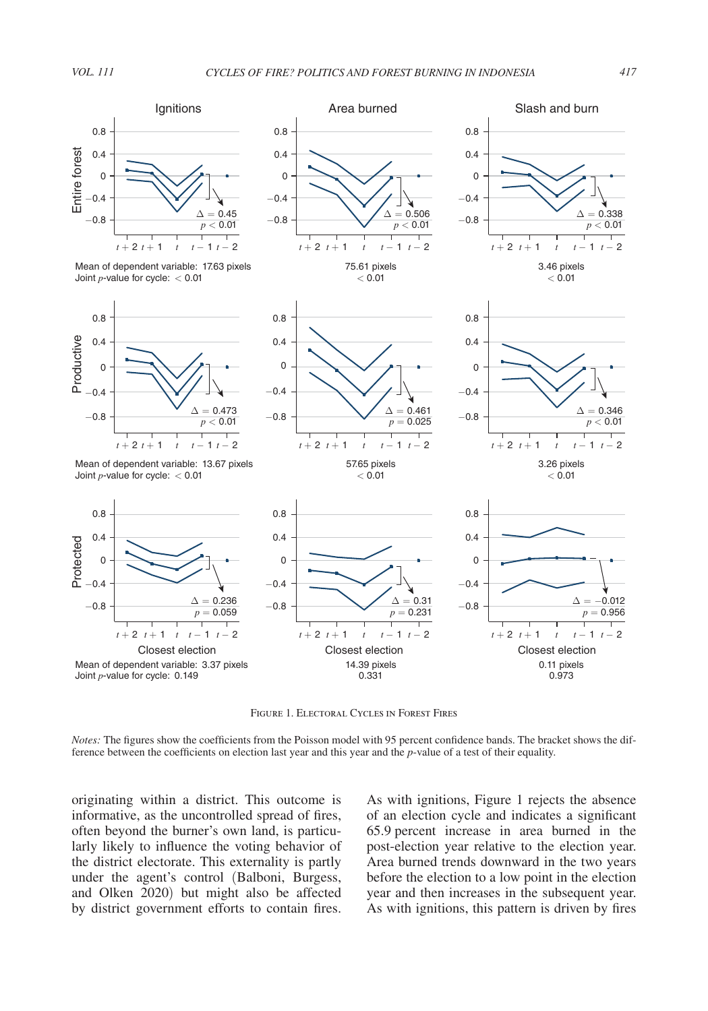$< 0.01$ 

<span id="page-2-0"></span>

Mean of dependent variable: 17.63 pixels Joint *p*-value for cycle: < 0.01



Mean of dependent variable: 13.67 pixels Joint *p*-value for cycle: < 0.01



 $-0.4$  $\Omega$ 0.4 0.8  $< 0.01$ 









57.65 pixels  $< 0.01$ 



0.4 0.8

Closest election Closest election Closest election *t* + 2 *t* + 1 *t t* − 1 *t* − 2 *t* + 2 *t* + 1 *t t* − 1 *t* − 2 *t* + 2 *t* + 1 *t t* − 1 *t* − 2 −0.8  $-0.4$ 0 0.4 0.8  $\Delta = 0.31$  $p = 0.231$  $\Delta = -0.012$  $p = 0.956$ 14.39 pixels 0.11 pixels

Figure 1. Electoral Cycles in Forest Fires

0.331

0

0 0.4 0.8

*Notes:* The figures show the coefficients from the Poisson model with 95 percent confidence bands. The bracket shows the difference between the coefficients on election last year and this year and the *p*-value of a test of their equality.

originating within a district. This outcome is informative, as the uncontrolled spread of fires, often beyond the burner's own land, is particularly likely to influence the voting behavior of the district electorate. This externality is partly under the agent's control (Balboni, Burgess, and Olken 2020) but might also be affected by district government efforts to contain fires.

As with ignitions, Figure 1 rejects the absence of an election cycle and indicates a significant 65.9 percent increase in area burned in the post-election year relative to the election year. Area burned trends downward in the two years before the election to a low point in the election year and then increases in the subsequent year. As with ignitions, this pattern is driven by fires

0.973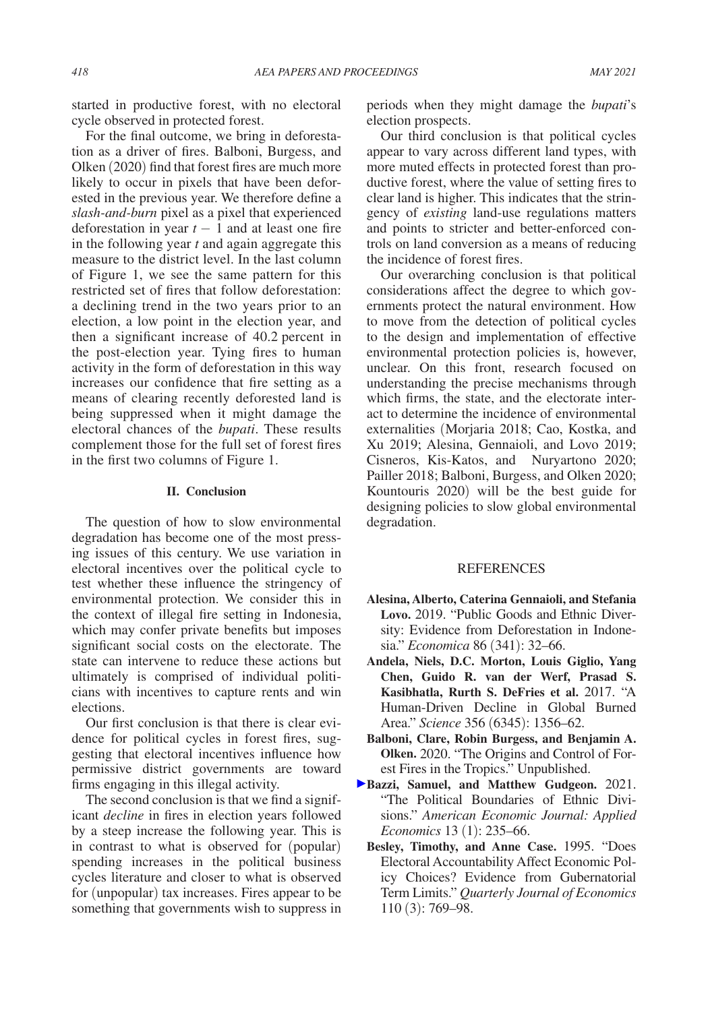started in productive forest, with no electoral cycle observed in protected forest.

For the final outcome, we bring in deforestation as a driver of fires. Balboni, Burgess, and Olken (2020) find that forest fires are much more likely to occur in pixels that have been deforested in the previous year. We therefore define a *slash-and-burn* pixel as a pixel that experienced deforestation in year  $t - 1$  and at least one fire in the following year *t* and again aggregate this measure to the district level. In the last column of Figure 1, we see the same pattern for this restricted set of fires that follow deforestation: a declining trend in the two years prior to an election, a low point in the election year, and then a significant increase of 40.2 percent in the post-election year. Tying fires to human activity in the form of deforestation in this way increases our confidence that fire setting as a means of clearing recently deforested land is being suppressed when it might damage the electoral chances of the *bupati*. These results complement those for the full set of forest fires in the first two columns of Figure 1.

## **II. Conclusion**

The question of how to slow environmental degradation has become one of the most pressing issues of this century. We use variation in electoral incentives over the political cycle to test whether these influence the stringency of environmental protection. We consider this in the context of illegal fire setting in Indonesia, which may confer private benefits but imposes significant social costs on the electorate. The state can intervene to reduce these actions but ultimately is comprised of individual politicians with incentives to capture rents and win elections.

Our first conclusion is that there is clear evidence for political cycles in forest fires, suggesting that electoral incentives influence how permissive district governments are toward firms engaging in this illegal activity.

The second conclusion is that we find a significant *decline* in fires in election years followed by a steep increase the following year. This is in contrast to what is observed for (popular) spending increases in the political business cycles literature and closer to what is observed for (unpopular) tax increases. Fires appear to be something that governments wish to suppress in

periods when they might damage the *bupati*'s election prospects.

Our third conclusion is that political cycles appear to vary across different land types, with more muted effects in protected forest than productive forest, where the value of setting fires to clear land is higher. This indicates that the stringency of *existing* land-use regulations matters and points to stricter and better-enforced controls on land conversion as a means of reducing the incidence of forest fires.

Our overarching conclusion is that political considerations affect the degree to which governments protect the natural environment. How to move from the detection of political cycles to the design and implementation of effective environmental protection policies is, however, unclear. On this front, research focused on understanding the precise mechanisms through which firms, the state, and the electorate interact to determine the incidence of environmental externalities (Morjaria 2018; Cao, Kostka, and Xu 2019; Alesina, Gennaioli, and Lovo 2019; Cisneros, Kis-Katos, and Nuryartono 2020; Pailler 2018; Balboni, Burgess, and Olken 2020; Kountouris 2020) will be the best guide for designing policies to slow global environmental degradation.

## REFERENCES

- **Alesina, Alberto, Caterina Gennaioli, and Stefania Lovo.** 2019. "Public Goods and Ethnic Diversity: Evidence from Deforestation in Indonesia." *Economica* 86 (341): 32–66.
- **Andela, Niels, D.C. Morton, Louis Giglio, Yang Chen, Guido R. van der Werf, Prasad S. Kasibhatla, Rurth S. DeFries et al.** 2017. "A Human-Driven Decline in Global Burned Area." *Science* 356 (6345): 1356–62.
- **Balboni, Clare, Robin Burgess, and Benjamin A. Olken.** 2020. "The Origins and Control of Forest Fires in the Tropics." Unpublished.
- **Bazzi, Samuel, and Matthew Gudgeon.** 2021. "The Political Boundaries of Ethnic Divisions." *American Economic Journal: Applied Economics* 13 (1): 235–66.
	- **Besley, Timothy, and Anne Case.** 1995. "Does Electoral Accountability Affect Economic Policy Choices? Evidence from Gubernatorial Term Limits." *Quarterly Journal of Economics* 110 (3): 769–98.